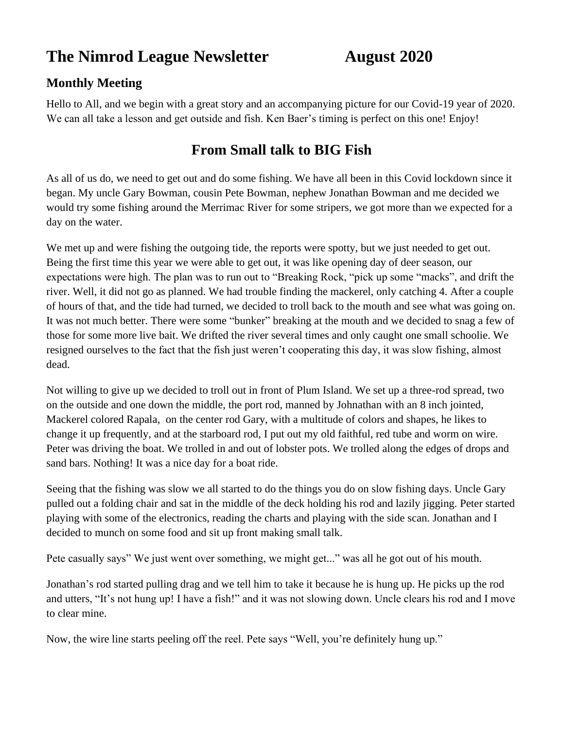# **The Nimrod League Newsletter August 2020**

## **Monthly Meeting**

Hello to All, and we begin with a great story and an accompanying picture for our Covid-19 year of 2020. We can all take a lesson and get outside and fish. Ken Baer's timing is perfect on this one! Enjoy!

# **From Small talk to BIG Fish**

As all of us do, we need to get out and do some fishing. We have all been in this Covid lockdown since it began. My uncle Gary Bowman, cousin Pete Bowman, nephew Jonathan Bowman and me decided we would try some fishing around the Merrimac River for some stripers, we got more than we expected for a day on the water.

We met up and were fishing the outgoing tide, the reports were spotty, but we just needed to get out. Being the first time this year we were able to get out, it was like opening day of deer season, our expectations were high. The plan was to run out to "Breaking Rock, "pick up some "macks", and drift the river. Well, it did not go as planned. We had trouble finding the mackerel, only catching 4. After a couple of hours of that, and the tide had turned, we decided to troll back to the mouth and see what was going on. It was not much better. There were some "bunker" breaking at the mouth and we decided to snag a few of those for some more live bait. We drifted the river several times and only caught one small schoolie. We resigned ourselves to the fact that the fish just weren't cooperating this day, it was slow fishing, almost dead.

Not willing to give up we decided to troll out in front of Plum Island. We set up a three-rod spread, two on the outside and one down the middle, the port rod, manned by Johnathan with an 8 inch jointed, Mackerel colored Rapala, on the center rod Gary, with a multitude of colors and shapes, he likes to change it up frequently, and at the starboard rod, I put out my old faithful, red tube and worm on wire. Peter was driving the boat. We trolled in and out of lobster pots. We trolled along the edges of drops and sand bars. Nothing! It was a nice day for a boat ride.

Seeing that the fishing was slow we all started to do the things you do on slow fishing days. Uncle Gary pulled out a folding chair and sat in the middle of the deck holding his rod and lazily jigging. Peter started playing with some of the electronics, reading the charts and playing with the side scan. Jonathan and I decided to munch on some food and sit up front making small talk.

Pete casually says" We just went over something, we might get..." was all he got out of his mouth.

Jonathan's rod started pulling drag and we tell him to take it because he is hung up. He picks up the rod and utters, "It's not hung up! I have a fish!" and it was not slowing down. Uncle clears his rod and I move to clear mine.

Now, the wire line starts peeling off the reel. Pete says "Well, you're definitely hung up."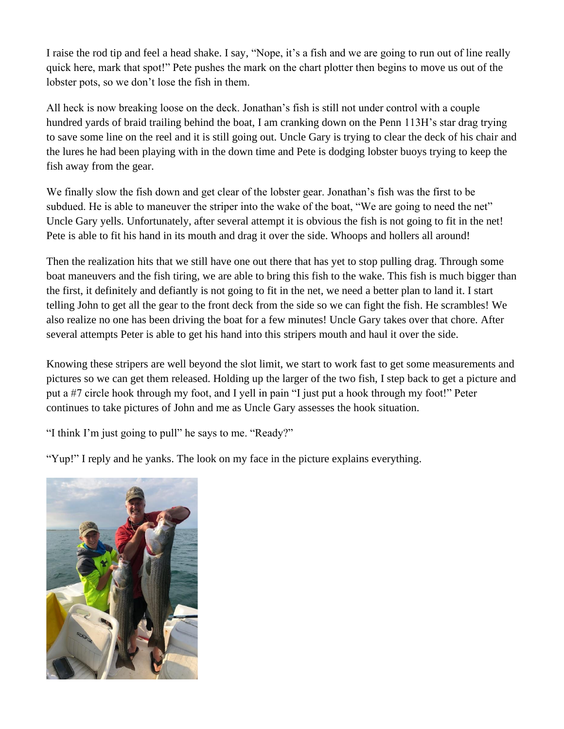I raise the rod tip and feel a head shake. I say, "Nope, it's a fish and we are going to run out of line really quick here, mark that spot!" Pete pushes the mark on the chart plotter then begins to move us out of the lobster pots, so we don't lose the fish in them.

All heck is now breaking loose on the deck. Jonathan's fish is still not under control with a couple hundred yards of braid trailing behind the boat, I am cranking down on the Penn 113H's star drag trying to save some line on the reel and it is still going out. Uncle Gary is trying to clear the deck of his chair and the lures he had been playing with in the down time and Pete is dodging lobster buoys trying to keep the fish away from the gear.

We finally slow the fish down and get clear of the lobster gear. Jonathan's fish was the first to be subdued. He is able to maneuver the striper into the wake of the boat, "We are going to need the net" Uncle Gary yells. Unfortunately, after several attempt it is obvious the fish is not going to fit in the net! Pete is able to fit his hand in its mouth and drag it over the side. Whoops and hollers all around!

Then the realization hits that we still have one out there that has yet to stop pulling drag. Through some boat maneuvers and the fish tiring, we are able to bring this fish to the wake. This fish is much bigger than the first, it definitely and defiantly is not going to fit in the net, we need a better plan to land it. I start telling John to get all the gear to the front deck from the side so we can fight the fish. He scrambles! We also realize no one has been driving the boat for a few minutes! Uncle Gary takes over that chore. After several attempts Peter is able to get his hand into this stripers mouth and haul it over the side.

Knowing these stripers are well beyond the slot limit, we start to work fast to get some measurements and pictures so we can get them released. Holding up the larger of the two fish, I step back to get a picture and put a #7 circle hook through my foot, and I yell in pain "I just put a hook through my foot!" Peter continues to take pictures of John and me as Uncle Gary assesses the hook situation.

"I think I'm just going to pull" he says to me. "Ready?"

"Yup!" I reply and he yanks. The look on my face in the picture explains everything.

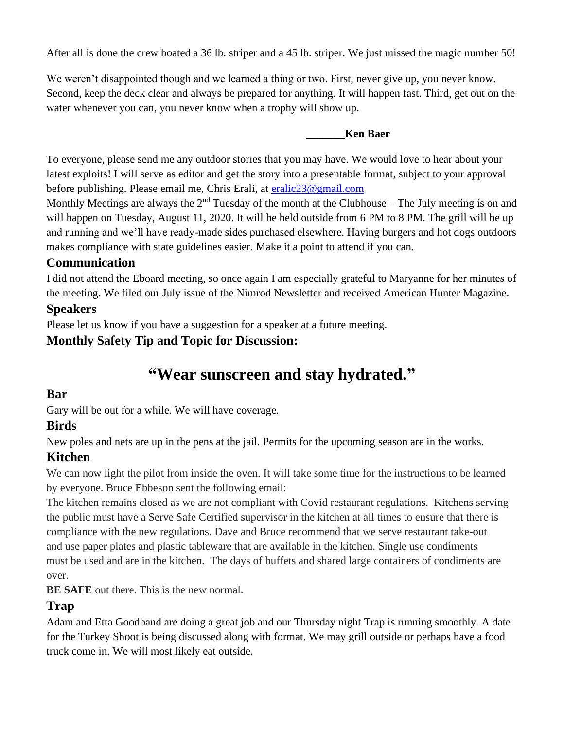After all is done the crew boated a 36 lb. striper and a 45 lb. striper. We just missed the magic number 50!

We weren't disappointed though and we learned a thing or two. First, never give up, you never know. Second, keep the deck clear and always be prepared for anything. It will happen fast. Third, get out on the water whenever you can, you never know when a trophy will show up.

#### **\_\_\_\_\_\_\_Ken Baer**

To everyone, please send me any outdoor stories that you may have. We would love to hear about your latest exploits! I will serve as editor and get the story into a presentable format, subject to your approval before publishing. Please email me, Chris Erali, at [eralic23@gmail.com](mailto:eralic23@gmail.com)

Monthly Meetings are always the  $2<sup>nd</sup>$  Tuesday of the month at the Clubhouse – The July meeting is on and will happen on Tuesday, August 11, 2020. It will be held outside from 6 PM to 8 PM. The grill will be up and running and we'll have ready-made sides purchased elsewhere. Having burgers and hot dogs outdoors makes compliance with state guidelines easier. Make it a point to attend if you can.

#### **Communication**

I did not attend the Eboard meeting, so once again I am especially grateful to Maryanne for her minutes of the meeting. We filed our July issue of the Nimrod Newsletter and received American Hunter Magazine.

#### **Speakers**

Please let us know if you have a suggestion for a speaker at a future meeting.

#### **Monthly Safety Tip and Topic for Discussion:**

# **"Wear sunscreen and stay hydrated."**

#### **Bar**

Gary will be out for a while. We will have coverage.

#### **Birds**

New poles and nets are up in the pens at the jail. Permits for the upcoming season are in the works.

#### **Kitchen**

We can now light the pilot from inside the oven. It will take some time for the instructions to be learned by everyone. Bruce Ebbeson sent the following email:

The kitchen remains closed as we are not compliant with Covid restaurant regulations. Kitchens serving the public must have a Serve Safe Certified supervisor in the kitchen at all times to ensure that there is compliance with the new regulations. Dave and Bruce recommend that we serve restaurant take-out and use paper plates and plastic tableware that are available in the kitchen. Single use condiments must be used and are in the kitchen. The days of buffets and shared large containers of condiments are over.

**BE SAFE** out there. This is the new normal.

#### **Trap**

Adam and Etta Goodband are doing a great job and our Thursday night Trap is running smoothly. A date for the Turkey Shoot is being discussed along with format. We may grill outside or perhaps have a food truck come in. We will most likely eat outside.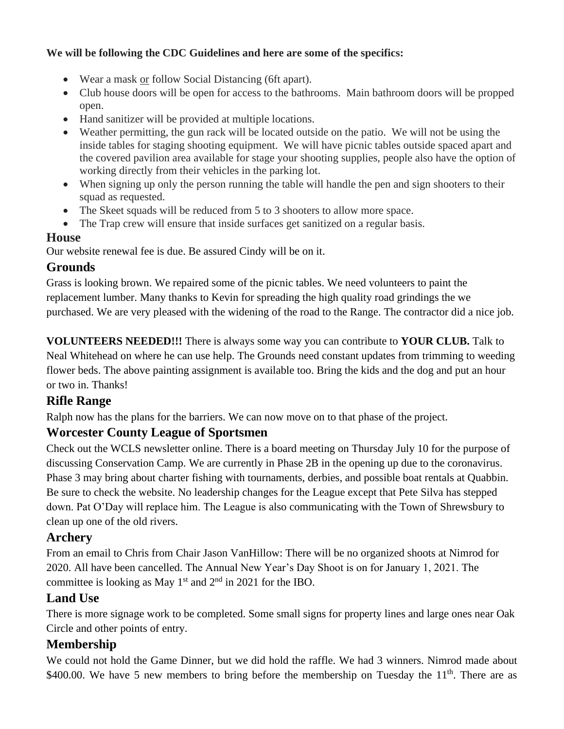#### **We will be following the CDC Guidelines and here are some of the specifics:**

- Wear a mask or follow Social Distancing (6ft apart).
- Club house doors will be open for access to the bathrooms. Main bathroom doors will be propped open.
- Hand sanitizer will be provided at multiple locations.
- Weather permitting, the gun rack will be located outside on the patio. We will not be using the inside tables for staging shooting equipment. We will have picnic tables outside spaced apart and the covered pavilion area available for stage your shooting supplies, people also have the option of working directly from their vehicles in the parking lot.
- When signing up only the person running the table will handle the pen and sign shooters to their squad as requested.
- The Skeet squads will be reduced from 5 to 3 shooters to allow more space.
- The Trap crew will ensure that inside surfaces get sanitized on a regular basis.

#### **House**

Our website renewal fee is due. Be assured Cindy will be on it.

#### **Grounds**

Grass is looking brown. We repaired some of the picnic tables. We need volunteers to paint the replacement lumber. Many thanks to Kevin for spreading the high quality road grindings the we purchased. We are very pleased with the widening of the road to the Range. The contractor did a nice job.

**VOLUNTEERS NEEDED!!!** There is always some way you can contribute to **YOUR CLUB.** Talk to Neal Whitehead on where he can use help. The Grounds need constant updates from trimming to weeding flower beds. The above painting assignment is available too. Bring the kids and the dog and put an hour or two in. Thanks!

#### **Rifle Range**

Ralph now has the plans for the barriers. We can now move on to that phase of the project.

#### **Worcester County League of Sportsmen**

Check out the WCLS newsletter online. There is a board meeting on Thursday July 10 for the purpose of discussing Conservation Camp. We are currently in Phase 2B in the opening up due to the coronavirus. Phase 3 may bring about charter fishing with tournaments, derbies, and possible boat rentals at Quabbin. Be sure to check the website. No leadership changes for the League except that Pete Silva has stepped down. Pat O'Day will replace him. The League is also communicating with the Town of Shrewsbury to clean up one of the old rivers.

#### **Archery**

From an email to Chris from Chair Jason VanHillow: There will be no organized shoots at Nimrod for 2020. All have been cancelled. The Annual New Year's Day Shoot is on for January 1, 2021. The committee is looking as May  $1<sup>st</sup>$  and  $2<sup>nd</sup>$  in 2021 for the IBO.

#### **Land Use**

There is more signage work to be completed. Some small signs for property lines and large ones near Oak Circle and other points of entry.

#### **Membership**

We could not hold the Game Dinner, but we did hold the raffle. We had 3 winners. Nimrod made about \$400.00. We have 5 new members to bring before the membership on Tuesday the  $11<sup>th</sup>$ . There are as